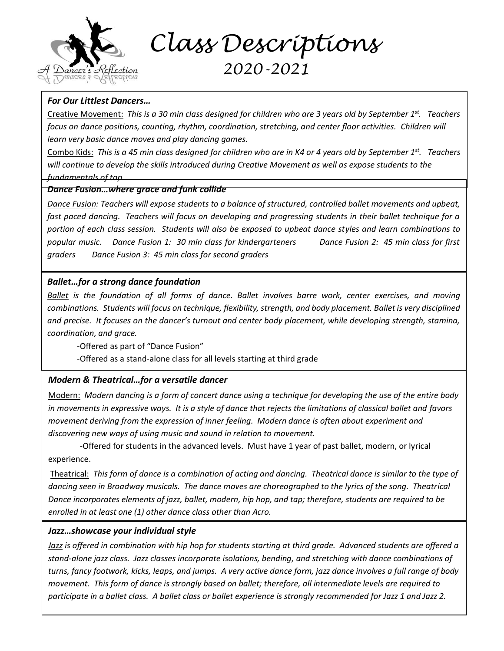

 *Class Descriptions*

# *2020-2021*

# *For Our Littlest Dancers…*

Creative Movement: *This is a 30 min class designed for children who are 3 years old by September 1st . Teachers focus on dance positions, counting, rhythm, coordination, stretching, and center floor activities. Children will learn very basic dance moves and play dancing games.* 

Combo Kids: *This is a 45 min class designed for children who are in K4 or 4 years old by September 1st . Teachers will continue to develop the skills introduced during Creative Movement as well as expose students to the fundamentals of tap*

#### *Dance Fusion…where grace and funk collide*

*Dance Fusion: Teachers will expose students to a balance of structured, controlled ballet movements and upbeat, fast paced dancing. Teachers will focus on developing and progressing students in their ballet technique for a portion of each class session. Students will also be exposed to upbeat dance styles and learn combinations to popular music. Dance Fusion 1: 30 min class for kindergarteners Dance Fusion 2: 45 min class for first graders Dance Fusion 3: 45 min class for second graders*

# *Ballet…for a strong dance foundation*

*Ballet is the foundation of all forms of dance. Ballet involves barre work, center exercises, and moving combinations. Students will focus on technique, flexibility, strength, and body placement. Ballet is very disciplined and precise. It focuses on the dancer's turnout and center body placement, while developing strength, stamina, coordination, and grace.*

-Offered as part of "Dance Fusion"

-Offered as a stand-alone class for all levels starting at third grade

# *Modern & Theatrical…for a versatile dancer*

Modern: *Modern dancing is a form of concert dance using a technique for developing the use of the entire body in movements in expressive ways. It is a style of dance that rejects the limitations of classical ballet and favors movement deriving from the expression of inner feeling. Modern dance is often about experiment and discovering new ways of using music and sound in relation to movement.*

-Offered for students in the advanced levels. Must have 1 year of past ballet, modern, or lyrical experience.

Theatrical: *This form of dance is a combination of acting and dancing. Theatrical dance is similar to the type of dancing seen in Broadway musicals. The dance moves are choreographed to the lyrics of the song. Theatrical Dance incorporates elements of jazz, ballet, modern, hip hop, and tap; therefore, students are required to be enrolled in at least one (1) other dance class other than Acro.*

#### *Jazz…showcase your individual style* -Offered for students in Intermediate level 2 through advanced. Must take one other dance class.

*Jazz is offered in combination with hip hop for students starting at third grade. Advanced students are offered a stand-alone jazz class. Jazz classes incorporate isolations, bending, and stretching with dance combinations of turns, fancy footwork, kicks, leaps, and jumps. A very active dance form, jazz dance involves a full range of body movement. This form of dance is strongly based on ballet; therefore, all intermediate levels are required to participate in a ballet class. A ballet class or ballet experience is strongly recommended for Jazz 1 and Jazz 2.*